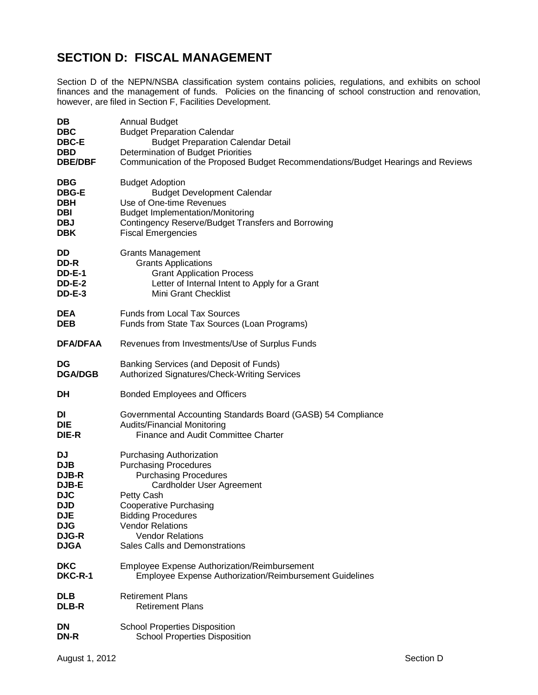## **SECTION D: FISCAL MANAGEMENT**

Section D of the NEPN/NSBA classification system contains policies, regulations, and exhibits on school finances and the management of funds. Policies on the financing of school construction and renovation, however, are filed in Section F, Facilities Development.

| DB              | <b>Annual Budget</b>                                                             |
|-----------------|----------------------------------------------------------------------------------|
| <b>DBC</b>      | <b>Budget Preparation Calendar</b>                                               |
| <b>DBC-E</b>    | <b>Budget Preparation Calendar Detail</b>                                        |
| <b>DBD</b>      | Determination of Budget Priorities                                               |
| <b>DBE/DBF</b>  | Communication of the Proposed Budget Recommendations/Budget Hearings and Reviews |
| <b>DBG</b>      | <b>Budget Adoption</b>                                                           |
| <b>DBG-E</b>    | <b>Budget Development Calendar</b>                                               |
| <b>DBH</b>      | Use of One-time Revenues                                                         |
| DBI             | <b>Budget Implementation/Monitoring</b>                                          |
| <b>DBJ</b>      | Contingency Reserve/Budget Transfers and Borrowing                               |
| <b>DBK</b>      | <b>Fiscal Emergencies</b>                                                        |
| DD              | <b>Grants Management</b>                                                         |
| DD-R            | <b>Grants Applications</b>                                                       |
| <b>DD-E-1</b>   | <b>Grant Application Process</b>                                                 |
| <b>DD-E-2</b>   | Letter of Internal Intent to Apply for a Grant                                   |
| <b>DD-E-3</b>   | <b>Mini Grant Checklist</b>                                                      |
| <b>DEA</b>      | <b>Funds from Local Tax Sources</b>                                              |
| <b>DEB</b>      | Funds from State Tax Sources (Loan Programs)                                     |
| <b>DFA/DFAA</b> | Revenues from Investments/Use of Surplus Funds                                   |
| DG              | Banking Services (and Deposit of Funds)                                          |
| <b>DGA/DGB</b>  | Authorized Signatures/Check-Writing Services                                     |
| DH              | <b>Bonded Employees and Officers</b>                                             |
| DI              | Governmental Accounting Standards Board (GASB) 54 Compliance                     |
| DIE             | <b>Audits/Financial Monitoring</b>                                               |
| DIE-R           | Finance and Audit Committee Charter                                              |
| DJ              | <b>Purchasing Authorization</b>                                                  |
| <b>DJB</b>      | <b>Purchasing Procedures</b>                                                     |
| <b>DJB-R</b>    | <b>Purchasing Procedures</b>                                                     |
| <b>DJB-E</b>    | Cardholder User Agreement                                                        |
| <b>DJC</b>      | Petty Cash                                                                       |
| <b>DJD</b>      | <b>Cooperative Purchasing</b>                                                    |
| <b>DJE</b>      | <b>Bidding Procedures</b>                                                        |
| <b>DJG</b>      | <b>Vendor Relations</b>                                                          |
| <b>DJG-R</b>    | <b>Vendor Relations</b>                                                          |
| <b>DJGA</b>     | Sales Calls and Demonstrations                                                   |
| <b>DKC</b>      | <b>Employee Expense Authorization/Reimbursement</b>                              |
| DKC-R-1         | Employee Expense Authorization/Reimbursement Guidelines                          |
| <b>DLB</b>      | <b>Retirement Plans</b>                                                          |
| <b>DLB-R</b>    | <b>Retirement Plans</b>                                                          |
| DN              | <b>School Properties Disposition</b>                                             |
| DN-R            | <b>School Properties Disposition</b>                                             |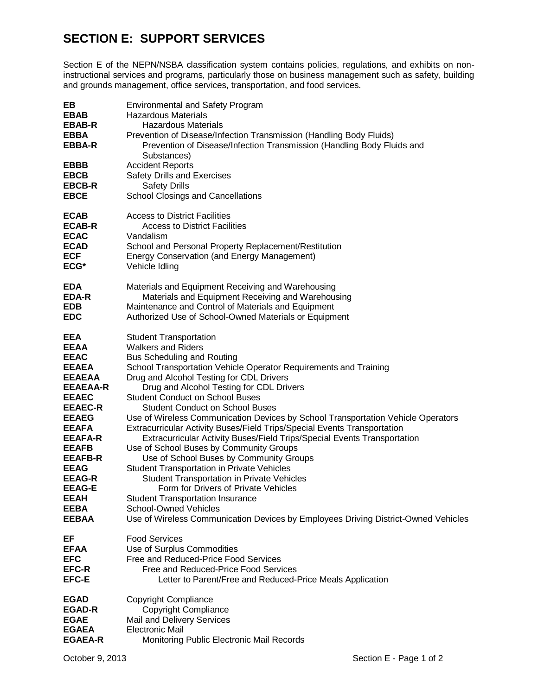## **SECTION E: SUPPORT SERVICES**

Section E of the NEPN/NSBA classification system contains policies, regulations, and exhibits on noninstructional services and programs, particularly those on business management such as safety, building and grounds management, office services, transportation, and food services.

| EВ<br><b>EBAB</b><br><b>EBAB-R</b><br><b>EBBA</b><br><b>EBBA-R</b><br><b>EBBB</b> | <b>Environmental and Safety Program</b><br><b>Hazardous Materials</b><br><b>Hazardous Materials</b><br>Prevention of Disease/Infection Transmission (Handling Body Fluids)<br>Prevention of Disease/Infection Transmission (Handling Body Fluids and<br>Substances)<br><b>Accident Reports</b> |
|-----------------------------------------------------------------------------------|------------------------------------------------------------------------------------------------------------------------------------------------------------------------------------------------------------------------------------------------------------------------------------------------|
| <b>EBCB</b>                                                                       | Safety Drills and Exercises                                                                                                                                                                                                                                                                    |
| <b>EBCB-R</b>                                                                     | <b>Safety Drills</b>                                                                                                                                                                                                                                                                           |
| <b>EBCE</b>                                                                       | School Closings and Cancellations                                                                                                                                                                                                                                                              |
| <b>ECAB</b>                                                                       | <b>Access to District Facilities</b>                                                                                                                                                                                                                                                           |
| <b>ECAB-R</b>                                                                     | <b>Access to District Facilities</b>                                                                                                                                                                                                                                                           |
| <b>ECAC</b>                                                                       | Vandalism                                                                                                                                                                                                                                                                                      |
| <b>ECAD</b>                                                                       | School and Personal Property Replacement/Restitution                                                                                                                                                                                                                                           |
| <b>ECF</b>                                                                        | <b>Energy Conservation (and Energy Management)</b>                                                                                                                                                                                                                                             |
| ECG*                                                                              | Vehicle Idling                                                                                                                                                                                                                                                                                 |
| <b>EDA</b>                                                                        | Materials and Equipment Receiving and Warehousing                                                                                                                                                                                                                                              |
| EDA-R                                                                             | Materials and Equipment Receiving and Warehousing                                                                                                                                                                                                                                              |
| <b>EDB</b>                                                                        | Maintenance and Control of Materials and Equipment                                                                                                                                                                                                                                             |
| <b>EDC</b>                                                                        | Authorized Use of School-Owned Materials or Equipment                                                                                                                                                                                                                                          |
| EEA                                                                               | <b>Student Transportation</b>                                                                                                                                                                                                                                                                  |
| <b>EEAA</b>                                                                       | <b>Walkers and Riders</b>                                                                                                                                                                                                                                                                      |
| <b>EEAC</b>                                                                       | <b>Bus Scheduling and Routing</b>                                                                                                                                                                                                                                                              |
| <b>EEAEA</b>                                                                      | School Transportation Vehicle Operator Requirements and Training                                                                                                                                                                                                                               |
| <b>EEAEAA</b>                                                                     | Drug and Alcohol Testing for CDL Drivers                                                                                                                                                                                                                                                       |
| <b>EEAEAA-R</b>                                                                   | Drug and Alcohol Testing for CDL Drivers                                                                                                                                                                                                                                                       |
| <b>EEAEC</b>                                                                      | <b>Student Conduct on School Buses</b>                                                                                                                                                                                                                                                         |
| <b>EEAEC-R</b>                                                                    | <b>Student Conduct on School Buses</b>                                                                                                                                                                                                                                                         |
| <b>EEAEG</b>                                                                      | Use of Wireless Communication Devices by School Transportation Vehicle Operators                                                                                                                                                                                                               |
| <b>EEAFA</b>                                                                      | Extracurricular Activity Buses/Field Trips/Special Events Transportation                                                                                                                                                                                                                       |
| <b>EEAFA-R</b>                                                                    | Extracurricular Activity Buses/Field Trips/Special Events Transportation                                                                                                                                                                                                                       |
| <b>EEAFB</b>                                                                      | Use of School Buses by Community Groups                                                                                                                                                                                                                                                        |
| <b>EEAFB-R</b>                                                                    | Use of School Buses by Community Groups                                                                                                                                                                                                                                                        |
| <b>EEAG</b>                                                                       | <b>Student Transportation in Private Vehicles</b>                                                                                                                                                                                                                                              |
| <b>EEAG-R</b>                                                                     | <b>Student Transportation in Private Vehicles</b>                                                                                                                                                                                                                                              |
| <b>EEAG-E</b>                                                                     | Form for Drivers of Private Vehicles                                                                                                                                                                                                                                                           |
| <b>EEAH</b>                                                                       | <b>Student Transportation Insurance</b>                                                                                                                                                                                                                                                        |
| EEBA                                                                              | <b>School-Owned Vehicles</b>                                                                                                                                                                                                                                                                   |
| <b>EEBAA</b>                                                                      | Use of Wireless Communication Devices by Employees Driving District-Owned Vehicles                                                                                                                                                                                                             |
| EF                                                                                | <b>Food Services</b>                                                                                                                                                                                                                                                                           |
| <b>EFAA</b>                                                                       | Use of Surplus Commodities                                                                                                                                                                                                                                                                     |
| <b>EFC</b>                                                                        | Free and Reduced-Price Food Services                                                                                                                                                                                                                                                           |
| <b>EFC-R</b>                                                                      | Free and Reduced-Price Food Services                                                                                                                                                                                                                                                           |
| <b>EFC-E</b>                                                                      | Letter to Parent/Free and Reduced-Price Meals Application                                                                                                                                                                                                                                      |
| <b>EGAD</b>                                                                       | <b>Copyright Compliance</b>                                                                                                                                                                                                                                                                    |
| <b>EGAD-R</b>                                                                     | <b>Copyright Compliance</b>                                                                                                                                                                                                                                                                    |
| <b>EGAE</b>                                                                       | Mail and Delivery Services                                                                                                                                                                                                                                                                     |
| <b>EGAEA</b>                                                                      | <b>Electronic Mail</b>                                                                                                                                                                                                                                                                         |
| <b>EGAEA-R</b>                                                                    | Monitoring Public Electronic Mail Records                                                                                                                                                                                                                                                      |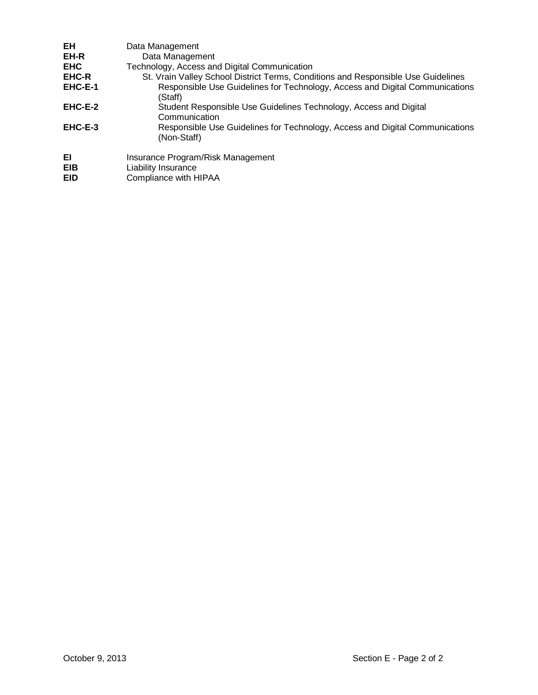| EH                      | Data Management                                                                             |
|-------------------------|---------------------------------------------------------------------------------------------|
| EH-R                    | Data Management                                                                             |
| <b>EHC</b>              | Technology, Access and Digital Communication                                                |
| <b>EHC-R</b>            | St. Vrain Valley School District Terms, Conditions and Responsible Use Guidelines           |
| EHC-E-1                 | Responsible Use Guidelines for Technology, Access and Digital Communications<br>(Staff)     |
| EHC-E-2                 | Student Responsible Use Guidelines Technology, Access and Digital                           |
|                         | Communication                                                                               |
| EHC-E-3                 | Responsible Use Guidelines for Technology, Access and Digital Communications<br>(Non-Staff) |
| EI<br>EIB<br><b>EID</b> | Insurance Program/Risk Management<br>Liability Insurance<br>Compliance with HIPAA           |